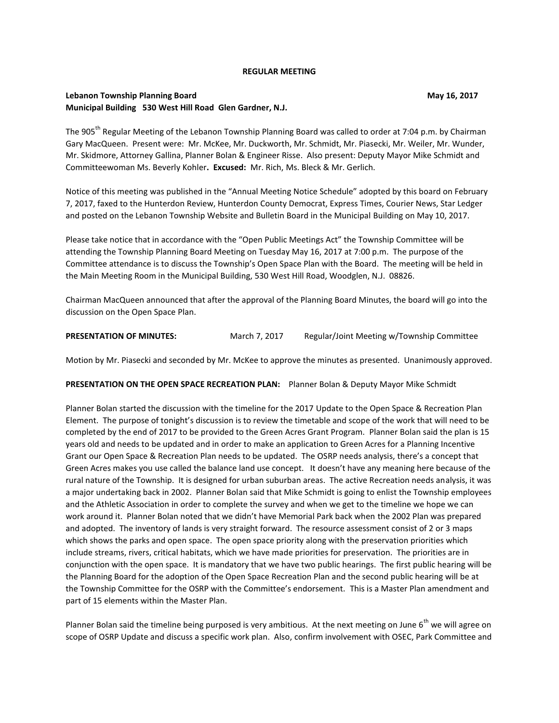#### **REGULAR MEETING**

## **Lebanon Township Planning Board May 16, 2017 May 16, 2017 Municipal Building 530 West Hill Road Glen Gardner, N.J.**

The 905<sup>th</sup> Regular Meeting of the Lebanon Township Planning Board was called to order at 7:04 p.m. by Chairman Gary MacQueen. Present were: Mr. McKee, Mr. Duckworth, Mr. Schmidt, Mr. Piasecki, Mr. Weiler, Mr. Wunder, Mr. Skidmore, Attorney Gallina, Planner Bolan & Engineer Risse. Also present: Deputy Mayor Mike Schmidt and Committeewoman Ms. Beverly Kohler**. Excused:** Mr. Rich, Ms. Bleck & Mr. Gerlich.

Notice of this meeting was published in the "Annual Meeting Notice Schedule" adopted by this board on February 7, 2017, faxed to the Hunterdon Review, Hunterdon County Democrat, Express Times, Courier News, Star Ledger and posted on the Lebanon Township Website and Bulletin Board in the Municipal Building on May 10, 2017.

Please take notice that in accordance with the "Open Public Meetings Act" the Township Committee will be attending the Township Planning Board Meeting on Tuesday May 16, 2017 at 7:00 p.m. The purpose of the Committee attendance is to discuss the Township's Open Space Plan with the Board. The meeting will be held in the Main Meeting Room in the Municipal Building, 530 West Hill Road, Woodglen, N.J. 08826.

Chairman MacQueen announced that after the approval of the Planning Board Minutes, the board will go into the discussion on the Open Space Plan.

**PRESENTATION OF MINUTES:** March 7, 2017 Regular/Joint Meeting w/Township Committee

Motion by Mr. Piasecki and seconded by Mr. McKee to approve the minutes as presented. Unanimously approved.

### **PRESENTATION ON THE OPEN SPACE RECREATION PLAN:** Planner Bolan & Deputy Mayor Mike Schmidt

Planner Bolan started the discussion with the timeline for the 2017 Update to the Open Space & Recreation Plan Element. The purpose of tonight's discussion is to review the timetable and scope of the work that will need to be completed by the end of 2017 to be provided to the Green Acres Grant Program. Planner Bolan said the plan is 15 years old and needs to be updated and in order to make an application to Green Acres for a Planning Incentive Grant our Open Space & Recreation Plan needs to be updated. The OSRP needs analysis, there's a concept that Green Acres makes you use called the balance land use concept. It doesn't have any meaning here because of the rural nature of the Township. It is designed for urban suburban areas. The active Recreation needs analysis, it was a major undertaking back in 2002. Planner Bolan said that Mike Schmidt is going to enlist the Township employees and the Athletic Association in order to complete the survey and when we get to the timeline we hope we can work around it. Planner Bolan noted that we didn't have Memorial Park back when the 2002 Plan was prepared and adopted. The inventory of lands is very straight forward. The resource assessment consist of 2 or 3 maps which shows the parks and open space. The open space priority along with the preservation priorities which include streams, rivers, critical habitats, which we have made priorities for preservation. The priorities are in conjunction with the open space. It is mandatory that we have two public hearings. The first public hearing will be the Planning Board for the adoption of the Open Space Recreation Plan and the second public hearing will be at the Township Committee for the OSRP with the Committee's endorsement. This is a Master Plan amendment and part of 15 elements within the Master Plan.

Planner Bolan said the timeline being purposed is very ambitious. At the next meeting on June  $6^{th}$  we will agree on scope of OSRP Update and discuss a specific work plan. Also, confirm involvement with OSEC, Park Committee and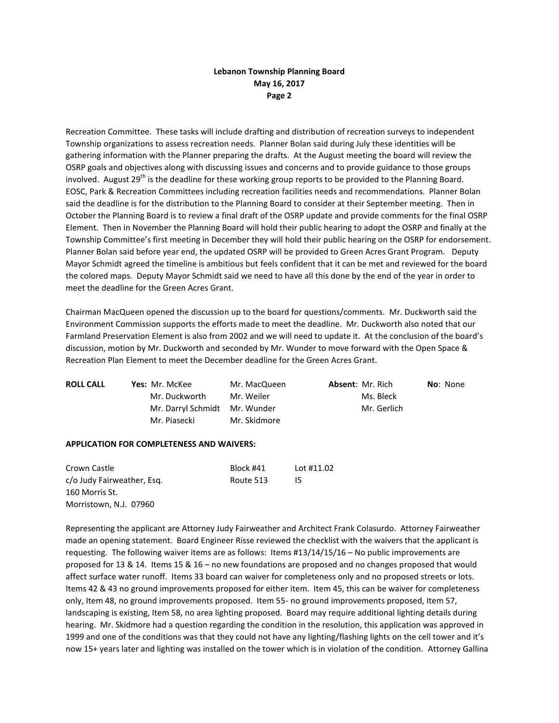Recreation Committee. These tasks will include drafting and distribution of recreation surveys to independent Township organizations to assess recreation needs. Planner Bolan said during July these identities will be gathering information with the Planner preparing the drafts. At the August meeting the board will review the OSRP goals and objectives along with discussing issues and concerns and to provide guidance to those groups involved. August 29<sup>th</sup> is the deadline for these working group reports to be provided to the Planning Board. EOSC, Park & Recreation Committees including recreation facilities needs and recommendations. Planner Bolan said the deadline is for the distribution to the Planning Board to consider at their September meeting. Then in October the Planning Board is to review a final draft of the OSRP update and provide comments for the final OSRP Element. Then in November the Planning Board will hold their public hearing to adopt the OSRP and finally at the Township Committee's first meeting in December they will hold their public hearing on the OSRP for endorsement. Planner Bolan said before year end, the updated OSRP will be provided to Green Acres Grant Program. Deputy Mayor Schmidt agreed the timeline is ambitious but feels confident that it can be met and reviewed for the board the colored maps. Deputy Mayor Schmidt said we need to have all this done by the end of the year in order to meet the deadline for the Green Acres Grant.

Chairman MacQueen opened the discussion up to the board for questions/comments. Mr. Duckworth said the Environment Commission supports the efforts made to meet the deadline. Mr. Duckworth also noted that our Farmland Preservation Element is also from 2002 and we will need to update it. At the conclusion of the board's discussion, motion by Mr. Duckworth and seconded by Mr. Wunder to move forward with the Open Space & Recreation Plan Element to meet the December deadline for the Green Acres Grant.

| <b>ROLL CALL</b> | <b>Yes: Mr. McKee</b>         | Mr. MacQueen | <b>Absent: Mr. Rich</b> | <b>No</b> : None |
|------------------|-------------------------------|--------------|-------------------------|------------------|
|                  | Mr. Duckworth                 | Mr. Weiler   | Ms. Bleck               |                  |
|                  | Mr. Darryl Schmidt Mr. Wunder |              | Mr. Gerlich             |                  |
|                  | Mr. Piasecki                  | Mr. Skidmore |                         |                  |

#### **APPLICATION FOR COMPLETENESS AND WAIVERS:**

| Crown Castle               | Block #41 | Lot #11.02 |
|----------------------------|-----------|------------|
| c/o Judy Fairweather, Esg. | Route 513 | 15         |
| 160 Morris St.             |           |            |
| Morristown, N.J. 07960     |           |            |

Representing the applicant are Attorney Judy Fairweather and Architect Frank Colasurdo. Attorney Fairweather made an opening statement. Board Engineer Risse reviewed the checklist with the waivers that the applicant is requesting. The following waiver items are as follows: Items #13/14/15/16 – No public improvements are proposed for 13 & 14. Items 15 & 16 – no new foundations are proposed and no changes proposed that would affect surface water runoff. Items 33 board can waiver for completeness only and no proposed streets or lots. Items 42 & 43 no ground improvements proposed for either item. Item 45, this can be waiver for completeness only, Item 48, no ground improvements proposed. Item 55- no ground improvements proposed, Item 57, landscaping is existing, Item 58, no area lighting proposed. Board may require additional lighting details during hearing. Mr. Skidmore had a question regarding the condition in the resolution, this application was approved in 1999 and one of the conditions was that they could not have any lighting/flashing lights on the cell tower and it's now 15+ years later and lighting was installed on the tower which is in violation of the condition. Attorney Gallina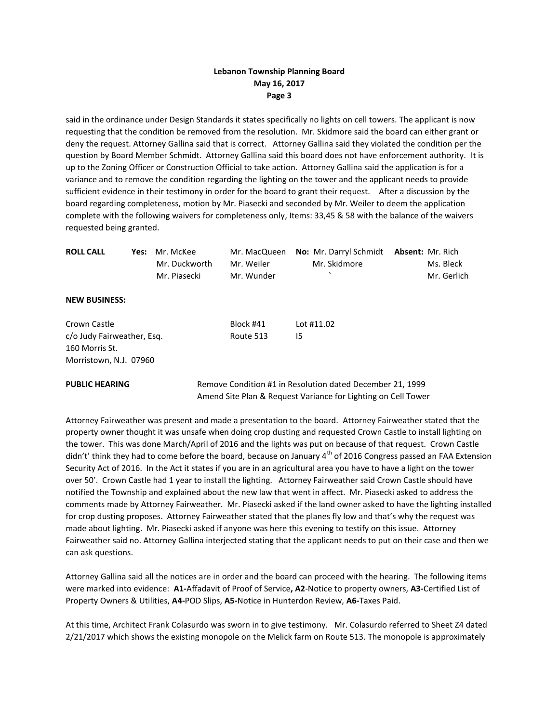said in the ordinance under Design Standards it states specifically no lights on cell towers. The applicant is now requesting that the condition be removed from the resolution. Mr. Skidmore said the board can either grant or deny the request. Attorney Gallina said that is correct. Attorney Gallina said they violated the condition per the question by Board Member Schmidt. Attorney Gallina said this board does not have enforcement authority. It is up to the Zoning Officer or Construction Official to take action. Attorney Gallina said the application is for a variance and to remove the condition regarding the lighting on the tower and the applicant needs to provide sufficient evidence in their testimony in order for the board to grant their request. After a discussion by the board regarding completeness, motion by Mr. Piasecki and seconded by Mr. Weiler to deem the application complete with the following waivers for completeness only, Items: 33,45 & 58 with the balance of the waivers requested being granted.

| <b>ROLL CALL</b>                             | Yes: | Mr. McKee<br>Mr. Duckworth<br>Mr. Piasecki | Mr. MacQueen<br>Mr. Weiler<br>Mr. Wunder | No: Mr. Darryl Schmidt<br>Mr. Skidmore                                                                                     | <b>Absent: Mr. Rich</b><br>Ms. Bleck<br>Mr. Gerlich |
|----------------------------------------------|------|--------------------------------------------|------------------------------------------|----------------------------------------------------------------------------------------------------------------------------|-----------------------------------------------------|
| <b>NEW BUSINESS:</b>                         |      |                                            |                                          |                                                                                                                            |                                                     |
| Crown Castle                                 |      |                                            | Block #41                                | Lot #11.02                                                                                                                 |                                                     |
| c/o Judy Fairweather, Esg.<br>160 Morris St. |      |                                            | Route 513                                | 15                                                                                                                         |                                                     |
| Morristown, N.J. 07960                       |      |                                            |                                          |                                                                                                                            |                                                     |
| <b>PUBLIC HEARING</b>                        |      |                                            |                                          | Remove Condition #1 in Resolution dated December 21, 1999<br>Amend Site Plan & Request Variance for Lighting on Cell Tower |                                                     |

Attorney Fairweather was present and made a presentation to the board. Attorney Fairweather stated that the property owner thought it was unsafe when doing crop dusting and requested Crown Castle to install lighting on the tower. This was done March/April of 2016 and the lights was put on because of that request. Crown Castle didn't' think they had to come before the board, because on January  $4^{\text{th}}$  of 2016 Congress passed an FAA Extension Security Act of 2016. In the Act it states if you are in an agricultural area you have to have a light on the tower over 50'. Crown Castle had 1 year to install the lighting. Attorney Fairweather said Crown Castle should have notified the Township and explained about the new law that went in affect. Mr. Piasecki asked to address the comments made by Attorney Fairweather. Mr. Piasecki asked if the land owner asked to have the lighting installed for crop dusting proposes. Attorney Fairweather stated that the planes fly low and that's why the request was made about lighting. Mr. Piasecki asked if anyone was here this evening to testify on this issue. Attorney Fairweather said no. Attorney Gallina interjected stating that the applicant needs to put on their case and then we can ask questions.

Attorney Gallina said all the notices are in order and the board can proceed with the hearing. The following items were marked into evidence: **A1-**Affadavit of Proof of Service**, A2**-Notice to property owners, **A3-**Certified List of Property Owners & Utilities, **A4-**POD Slips, **A5-**Notice in Hunterdon Review, **A6-**Taxes Paid.

At this time, Architect Frank Colasurdo was sworn in to give testimony. Mr. Colasurdo referred to Sheet Z4 dated 2/21/2017 which shows the existing monopole on the Melick farm on Route 513. The monopole is approximately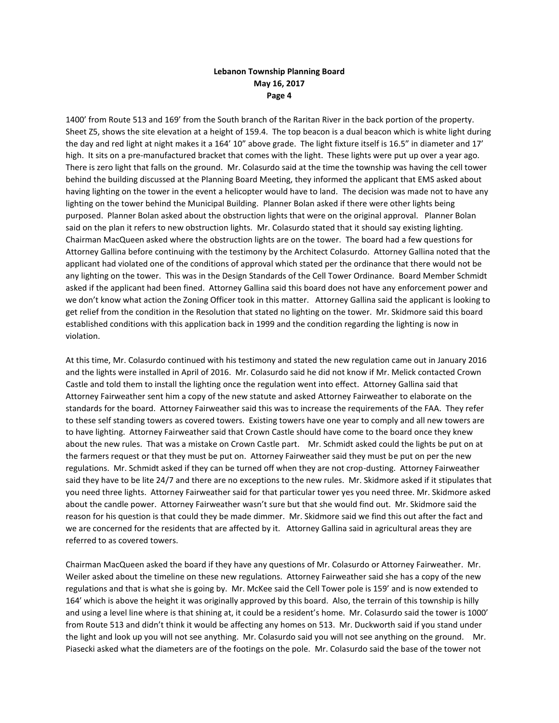1400' from Route 513 and 169' from the South branch of the Raritan River in the back portion of the property. Sheet Z5, shows the site elevation at a height of 159.4. The top beacon is a dual beacon which is white light during the day and red light at night makes it a 164' 10" above grade. The light fixture itself is 16.5" in diameter and 17' high. It sits on a pre-manufactured bracket that comes with the light. These lights were put up over a year ago. There is zero light that falls on the ground. Mr. Colasurdo said at the time the township was having the cell tower behind the building discussed at the Planning Board Meeting, they informed the applicant that EMS asked about having lighting on the tower in the event a helicopter would have to land. The decision was made not to have any lighting on the tower behind the Municipal Building. Planner Bolan asked if there were other lights being purposed. Planner Bolan asked about the obstruction lights that were on the original approval. Planner Bolan said on the plan it refers to new obstruction lights. Mr. Colasurdo stated that it should say existing lighting. Chairman MacQueen asked where the obstruction lights are on the tower. The board had a few questions for Attorney Gallina before continuing with the testimony by the Architect Colasurdo. Attorney Gallina noted that the applicant had violated one of the conditions of approval which stated per the ordinance that there would not be any lighting on the tower. This was in the Design Standards of the Cell Tower Ordinance. Board Member Schmidt asked if the applicant had been fined. Attorney Gallina said this board does not have any enforcement power and we don't know what action the Zoning Officer took in this matter. Attorney Gallina said the applicant is looking to get relief from the condition in the Resolution that stated no lighting on the tower. Mr. Skidmore said this board established conditions with this application back in 1999 and the condition regarding the lighting is now in violation.

At this time, Mr. Colasurdo continued with his testimony and stated the new regulation came out in January 2016 and the lights were installed in April of 2016. Mr. Colasurdo said he did not know if Mr. Melick contacted Crown Castle and told them to install the lighting once the regulation went into effect. Attorney Gallina said that Attorney Fairweather sent him a copy of the new statute and asked Attorney Fairweather to elaborate on the standards for the board. Attorney Fairweather said this was to increase the requirements of the FAA. They refer to these self standing towers as covered towers. Existing towers have one year to comply and all new towers are to have lighting. Attorney Fairweather said that Crown Castle should have come to the board once they knew about the new rules. That was a mistake on Crown Castle part. Mr. Schmidt asked could the lights be put on at the farmers request or that they must be put on. Attorney Fairweather said they must be put on per the new regulations. Mr. Schmidt asked if they can be turned off when they are not crop-dusting. Attorney Fairweather said they have to be lite 24/7 and there are no exceptions to the new rules. Mr. Skidmore asked if it stipulates that you need three lights. Attorney Fairweather said for that particular tower yes you need three. Mr. Skidmore asked about the candle power. Attorney Fairweather wasn't sure but that she would find out. Mr. Skidmore said the reason for his question is that could they be made dimmer. Mr. Skidmore said we find this out after the fact and we are concerned for the residents that are affected by it. Attorney Gallina said in agricultural areas they are referred to as covered towers.

Chairman MacQueen asked the board if they have any questions of Mr. Colasurdo or Attorney Fairweather. Mr. Weiler asked about the timeline on these new regulations. Attorney Fairweather said she has a copy of the new regulations and that is what she is going by. Mr. McKee said the Cell Tower pole is 159' and is now extended to 164' which is above the height it was originally approved by this board. Also, the terrain of this township is hilly and using a level line where is that shining at, it could be a resident's home. Mr. Colasurdo said the tower is 1000' from Route 513 and didn't think it would be affecting any homes on 513. Mr. Duckworth said if you stand under the light and look up you will not see anything. Mr. Colasurdo said you will not see anything on the ground. Mr. Piasecki asked what the diameters are of the footings on the pole. Mr. Colasurdo said the base of the tower not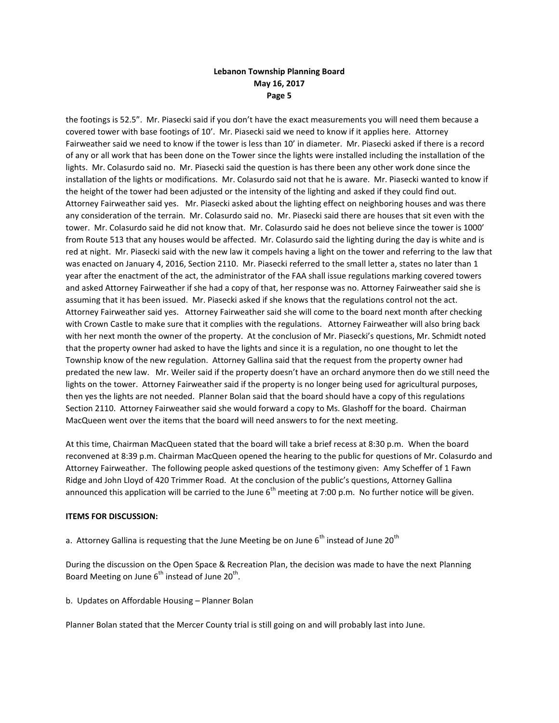the footings is 52.5". Mr. Piasecki said if you don't have the exact measurements you will need them because a covered tower with base footings of 10'. Mr. Piasecki said we need to know if it applies here. Attorney Fairweather said we need to know if the tower is less than 10' in diameter. Mr. Piasecki asked if there is a record of any or all work that has been done on the Tower since the lights were installed including the installation of the lights. Mr. Colasurdo said no. Mr. Piasecki said the question is has there been any other work done since the installation of the lights or modifications. Mr. Colasurdo said not that he is aware. Mr. Piasecki wanted to know if the height of the tower had been adjusted or the intensity of the lighting and asked if they could find out. Attorney Fairweather said yes. Mr. Piasecki asked about the lighting effect on neighboring houses and was there any consideration of the terrain. Mr. Colasurdo said no. Mr. Piasecki said there are houses that sit even with the tower. Mr. Colasurdo said he did not know that. Mr. Colasurdo said he does not believe since the tower is 1000' from Route 513 that any houses would be affected. Mr. Colasurdo said the lighting during the day is white and is red at night. Mr. Piasecki said with the new law it compels having a light on the tower and referring to the law that was enacted on January 4, 2016, Section 2110. Mr. Piasecki referred to the small letter a, states no later than 1 year after the enactment of the act, the administrator of the FAA shall issue regulations marking covered towers and asked Attorney Fairweather if she had a copy of that, her response was no. Attorney Fairweather said she is assuming that it has been issued. Mr. Piasecki asked if she knows that the regulations control not the act. Attorney Fairweather said yes. Attorney Fairweather said she will come to the board next month after checking with Crown Castle to make sure that it complies with the regulations. Attorney Fairweather will also bring back with her next month the owner of the property. At the conclusion of Mr. Piasecki's questions, Mr. Schmidt noted that the property owner had asked to have the lights and since it is a regulation, no one thought to let the Township know of the new regulation. Attorney Gallina said that the request from the property owner had predated the new law. Mr. Weiler said if the property doesn't have an orchard anymore then do we still need the lights on the tower. Attorney Fairweather said if the property is no longer being used for agricultural purposes, then yes the lights are not needed. Planner Bolan said that the board should have a copy of this regulations Section 2110. Attorney Fairweather said she would forward a copy to Ms. Glashoff for the board. Chairman MacQueen went over the items that the board will need answers to for the next meeting.

At this time, Chairman MacQueen stated that the board will take a brief recess at 8:30 p.m. When the board reconvened at 8:39 p.m. Chairman MacQueen opened the hearing to the public for questions of Mr. Colasurdo and Attorney Fairweather. The following people asked questions of the testimony given: Amy Scheffer of 1 Fawn Ridge and John Lloyd of 420 Trimmer Road. At the conclusion of the public's questions, Attorney Gallina announced this application will be carried to the June  $6<sup>th</sup>$  meeting at 7:00 p.m. No further notice will be given.

### **ITEMS FOR DISCUSSION:**

a. Attorney Gallina is requesting that the June Meeting be on June 6<sup>th</sup> instead of June 20<sup>th</sup>

During the discussion on the Open Space & Recreation Plan, the decision was made to have the next Planning Board Meeting on June  $6^{th}$  instead of June 20<sup>th</sup>.

b. Updates on Affordable Housing – Planner Bolan

Planner Bolan stated that the Mercer County trial is still going on and will probably last into June.